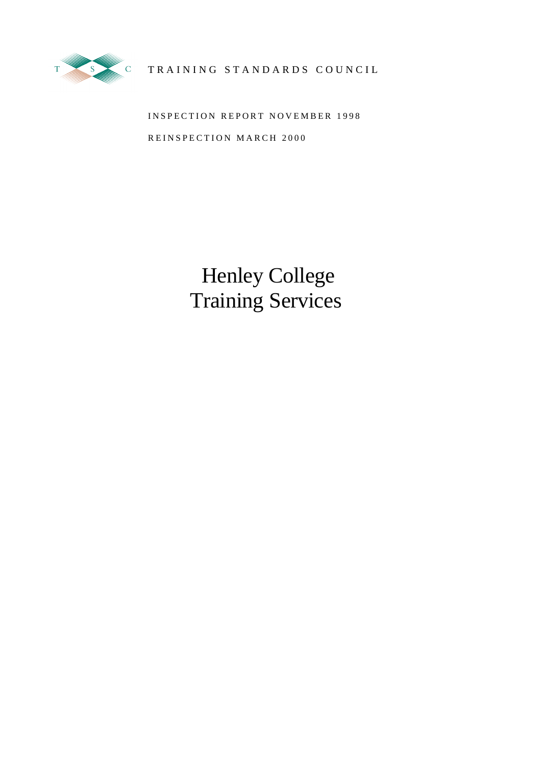

# TRAINING STANDARDS COUNCIL

INSPECTION REPORT NOVEMBER 1998 REINSPECTION MARCH 2000

> Henley College Training Services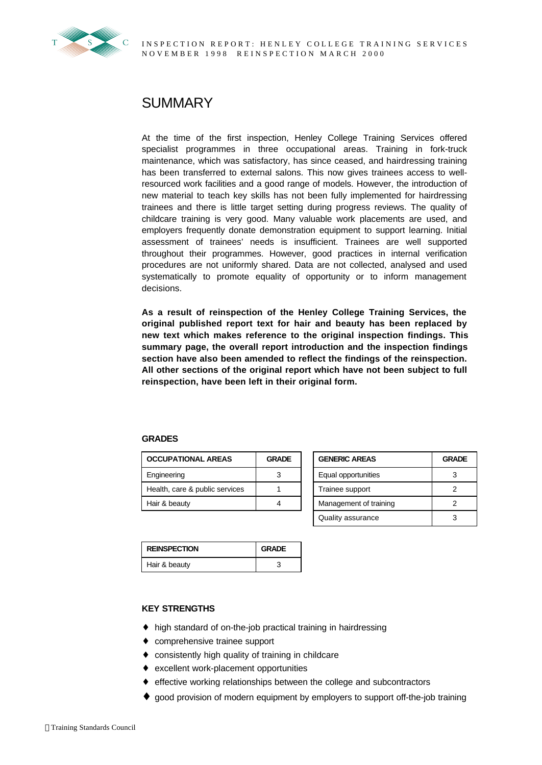

# **SUMMARY**

At the time of the first inspection, Henley College Training Services offered specialist programmes in three occupational areas. Training in fork-truck maintenance, which was satisfactory, has since ceased, and hairdressing training has been transferred to external salons. This now gives trainees access to wellresourced work facilities and a good range of models. However, the introduction of new material to teach key skills has not been fully implemented for hairdressing trainees and there is little target setting during progress reviews. The quality of childcare training is very good. Many valuable work placements are used, and employers frequently donate demonstration equipment to support learning. Initial assessment of trainees' needs is insufficient. Trainees are well supported throughout their programmes. However, good practices in internal verification procedures are not uniformly shared. Data are not collected, analysed and used systematically to promote equality of opportunity or to inform management decisions.

**As a result of reinspection of the Henley College Training Services, the original published report text for hair and beauty has been replaced by new text which makes reference to the original inspection findings. This summary page, the overall report introduction and the inspection findings section have also been amended to reflect the findings of the reinspection. All other sections of the original report which have not been subject to full reinspection, have been left in their original form.**

#### **GRADES**

| <b>OCCUPATIONAL AREAS</b>      | <b>GRADE</b> | <b>GENERIC AREAS</b>   | <b>GRA</b> |
|--------------------------------|--------------|------------------------|------------|
| Engineering                    |              | Equal opportunities    | 3          |
| Health, care & public services |              | Trainee support        | 2          |
| Hair & beauty                  | Δ            | Management of training | っ          |

**REINSPECTION GRADE** Hair & beauty 3

| OCCUPATIONAL AREAS             | <b>GRADE</b> | <b>GENERIC AREAS</b> |                        | <b>GRADE</b> |
|--------------------------------|--------------|----------------------|------------------------|--------------|
| Engineering                    | 3            |                      | Equal opportunities    |              |
| Health, care & public services |              |                      | Trainee support        |              |
| Hair & beauty                  |              |                      | Management of training |              |
|                                |              |                      | Quality assurance      | 3            |

| <b>KEY STRENGTHS</b> |
|----------------------|
|                      |

- ♦ high standard of on-the-job practical training in hairdressing
- ♦ comprehensive trainee support
- ♦ consistently high quality of training in childcare
- ♦ excellent work-placement opportunities
- ♦ effective working relationships between the college and subcontractors
- ♦ good provision of modern equipment by employers to support off-the-job training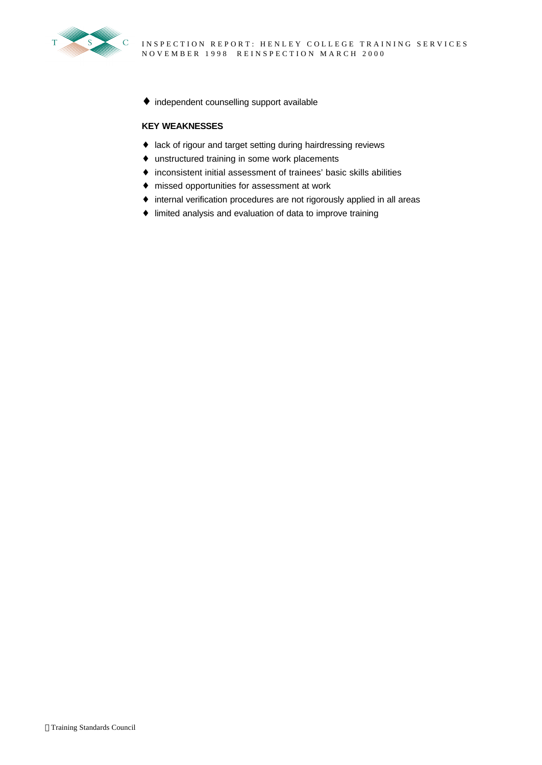

♦ independent counselling support available

# **KEY WEAKNESSES**

- ♦ lack of rigour and target setting during hairdressing reviews
- ♦ unstructured training in some work placements
- ♦ inconsistent initial assessment of trainees' basic skills abilities
- ♦ missed opportunities for assessment at work
- ♦ internal verification procedures are not rigorously applied in all areas
- ♦ limited analysis and evaluation of data to improve training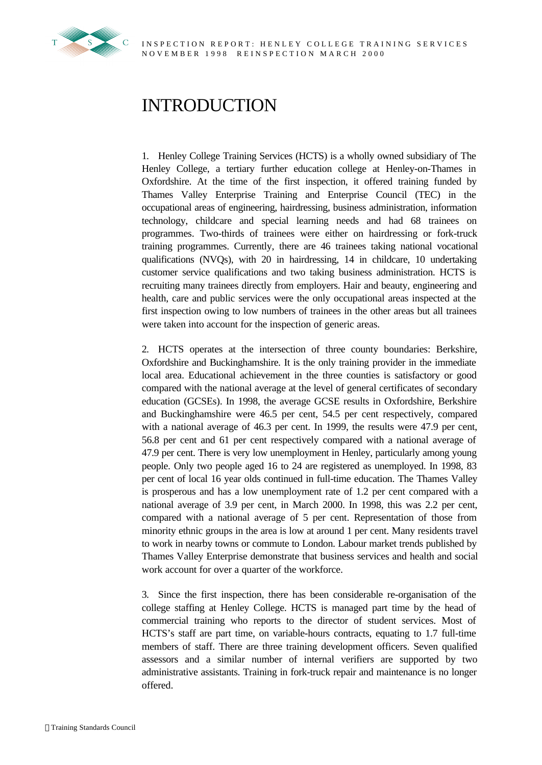

# INTRODUCTION

1. Henley College Training Services (HCTS) is a wholly owned subsidiary of The Henley College, a tertiary further education college at Henley-on-Thames in Oxfordshire. At the time of the first inspection, it offered training funded by Thames Valley Enterprise Training and Enterprise Council (TEC) in the occupational areas of engineering, hairdressing, business administration, information technology, childcare and special learning needs and had 68 trainees on programmes. Two-thirds of trainees were either on hairdressing or fork-truck training programmes. Currently, there are 46 trainees taking national vocational qualifications (NVQs), with 20 in hairdressing, 14 in childcare, 10 undertaking customer service qualifications and two taking business administration. HCTS is recruiting many trainees directly from employers. Hair and beauty, engineering and health, care and public services were the only occupational areas inspected at the first inspection owing to low numbers of trainees in the other areas but all trainees were taken into account for the inspection of generic areas.

2. HCTS operates at the intersection of three county boundaries: Berkshire, Oxfordshire and Buckinghamshire. It is the only training provider in the immediate local area. Educational achievement in the three counties is satisfactory or good compared with the national average at the level of general certificates of secondary education (GCSEs). In 1998, the average GCSE results in Oxfordshire, Berkshire and Buckinghamshire were 46.5 per cent, 54.5 per cent respectively, compared with a national average of 46.3 per cent. In 1999, the results were 47.9 per cent, 56.8 per cent and 61 per cent respectively compared with a national average of 47.9 per cent. There is very low unemployment in Henley, particularly among young people. Only two people aged 16 to 24 are registered as unemployed. In 1998, 83 per cent of local 16 year olds continued in full-time education. The Thames Valley is prosperous and has a low unemployment rate of 1.2 per cent compared with a national average of 3.9 per cent, in March 2000. In 1998, this was 2.2 per cent, compared with a national average of 5 per cent. Representation of those from minority ethnic groups in the area is low at around 1 per cent. Many residents travel to work in nearby towns or commute to London. Labour market trends published by Thames Valley Enterprise demonstrate that business services and health and social work account for over a quarter of the workforce.

3. Since the first inspection, there has been considerable re-organisation of the college staffing at Henley College. HCTS is managed part time by the head of commercial training who reports to the director of student services. Most of HCTS's staff are part time, on variable-hours contracts, equating to 1.7 full-time members of staff. There are three training development officers. Seven qualified assessors and a similar number of internal verifiers are supported by two administrative assistants. Training in fork-truck repair and maintenance is no longer offered.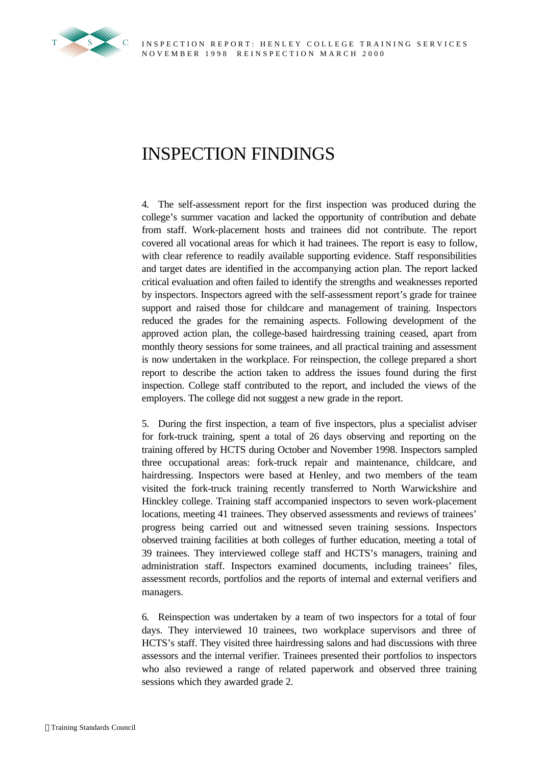

# INSPECTION FINDINGS

4. The self-assessment report for the first inspection was produced during the college's summer vacation and lacked the opportunity of contribution and debate from staff. Work-placement hosts and trainees did not contribute. The report covered all vocational areas for which it had trainees. The report is easy to follow, with clear reference to readily available supporting evidence. Staff responsibilities and target dates are identified in the accompanying action plan. The report lacked critical evaluation and often failed to identify the strengths and weaknesses reported by inspectors. Inspectors agreed with the self-assessment report's grade for trainee support and raised those for childcare and management of training. Inspectors reduced the grades for the remaining aspects. Following development of the approved action plan, the college-based hairdressing training ceased, apart from monthly theory sessions for some trainees, and all practical training and assessment is now undertaken in the workplace. For reinspection, the college prepared a short report to describe the action taken to address the issues found during the first inspection. College staff contributed to the report, and included the views of the employers. The college did not suggest a new grade in the report.

5. During the first inspection, a team of five inspectors, plus a specialist adviser for fork-truck training, spent a total of 26 days observing and reporting on the training offered by HCTS during October and November 1998. Inspectors sampled three occupational areas: fork-truck repair and maintenance, childcare, and hairdressing. Inspectors were based at Henley, and two members of the team visited the fork-truck training recently transferred to North Warwickshire and Hinckley college. Training staff accompanied inspectors to seven work-placement locations, meeting 41 trainees. They observed assessments and reviews of trainees' progress being carried out and witnessed seven training sessions. Inspectors observed training facilities at both colleges of further education, meeting a total of 39 trainees. They interviewed college staff and HCTS's managers, training and administration staff. Inspectors examined documents, including trainees' files, assessment records, portfolios and the reports of internal and external verifiers and managers.

6. Reinspection was undertaken by a team of two inspectors for a total of four days. They interviewed 10 trainees, two workplace supervisors and three of HCTS's staff. They visited three hairdressing salons and had discussions with three assessors and the internal verifier. Trainees presented their portfolios to inspectors who also reviewed a range of related paperwork and observed three training sessions which they awarded grade 2.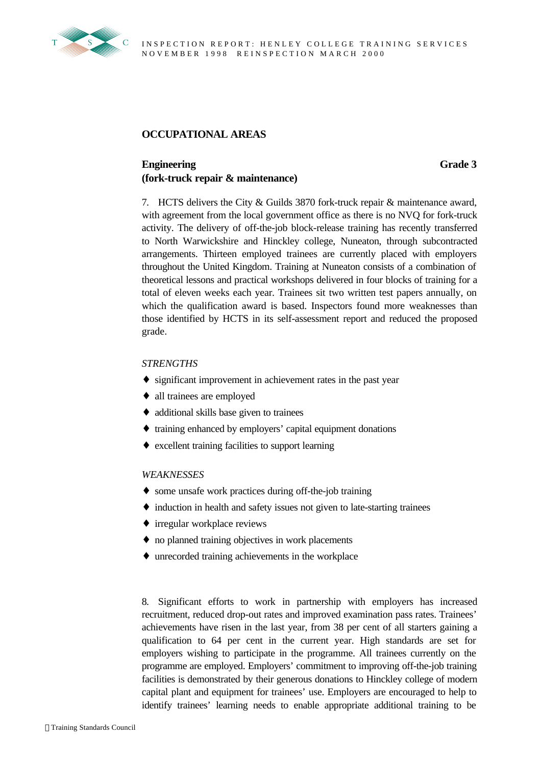

# **OCCUPATIONAL AREAS**

# **Engineering (fork-truck repair & maintenance)**

**Grade 3**

7. HCTS delivers the City & Guilds 3870 fork-truck repair & maintenance award, with agreement from the local government office as there is no NVQ for fork-truck activity. The delivery of off-the-job block-release training has recently transferred to North Warwickshire and Hinckley college, Nuneaton, through subcontracted arrangements. Thirteen employed trainees are currently placed with employers throughout the United Kingdom. Training at Nuneaton consists of a combination of theoretical lessons and practical workshops delivered in four blocks of training for a total of eleven weeks each year. Trainees sit two written test papers annually, on which the qualification award is based. Inspectors found more weaknesses than those identified by HCTS in its self-assessment report and reduced the proposed grade.

# *STRENGTHS*

- ♦ significant improvement in achievement rates in the past year
- ♦ all trainees are employed
- ♦ additional skills base given to trainees
- ♦ training enhanced by employers' capital equipment donations
- ♦ excellent training facilities to support learning

## *WEAKNESSES*

- ♦ some unsafe work practices during off-the-job training
- ♦ induction in health and safety issues not given to late-starting trainees
- ♦ irregular workplace reviews
- ♦ no planned training objectives in work placements
- ♦ unrecorded training achievements in the workplace

8. Significant efforts to work in partnership with employers has increased recruitment, reduced drop-out rates and improved examination pass rates. Trainees' achievements have risen in the last year, from 38 per cent of all starters gaining a qualification to 64 per cent in the current year. High standards are set for employers wishing to participate in the programme. All trainees currently on the programme are employed. Employers' commitment to improving off-the-job training facilities is demonstrated by their generous donations to Hinckley college of modern capital plant and equipment for trainees' use. Employers are encouraged to help to identify trainees' learning needs to enable appropriate additional training to be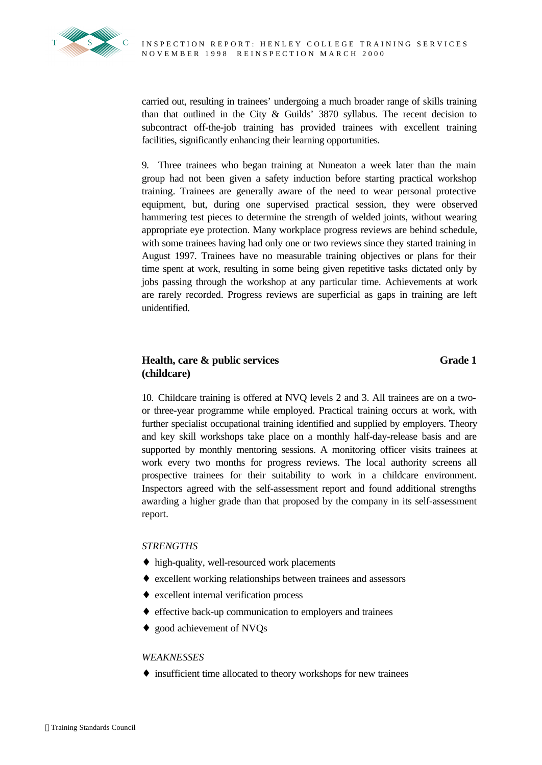

carried out, resulting in trainees' undergoing a much broader range of skills training than that outlined in the City & Guilds' 3870 syllabus. The recent decision to subcontract off-the-job training has provided trainees with excellent training facilities, significantly enhancing their learning opportunities.

9. Three trainees who began training at Nuneaton a week later than the main group had not been given a safety induction before starting practical workshop training. Trainees are generally aware of the need to wear personal protective equipment, but, during one supervised practical session, they were observed hammering test pieces to determine the strength of welded joints, without wearing appropriate eye protection. Many workplace progress reviews are behind schedule, with some trainees having had only one or two reviews since they started training in August 1997. Trainees have no measurable training objectives or plans for their time spent at work, resulting in some being given repetitive tasks dictated only by jobs passing through the workshop at any particular time. Achievements at work are rarely recorded. Progress reviews are superficial as gaps in training are left unidentified.

# **Health, care & public services (childcare)**

# **Grade 1**

10. Childcare training is offered at NVQ levels 2 and 3. All trainees are on a twoor three-year programme while employed. Practical training occurs at work, with further specialist occupational training identified and supplied by employers. Theory and key skill workshops take place on a monthly half-day-release basis and are supported by monthly mentoring sessions. A monitoring officer visits trainees at work every two months for progress reviews. The local authority screens all prospective trainees for their suitability to work in a childcare environment. Inspectors agreed with the self-assessment report and found additional strengths awarding a higher grade than that proposed by the company in its self-assessment report.

# *STRENGTHS*

- ♦ high-quality, well-resourced work placements
- ♦ excellent working relationships between trainees and assessors
- ♦ excellent internal verification process
- ♦ effective back-up communication to employers and trainees
- ♦ good achievement of NVQs

## *WEAKNESSES*

♦ insufficient time allocated to theory workshops for new trainees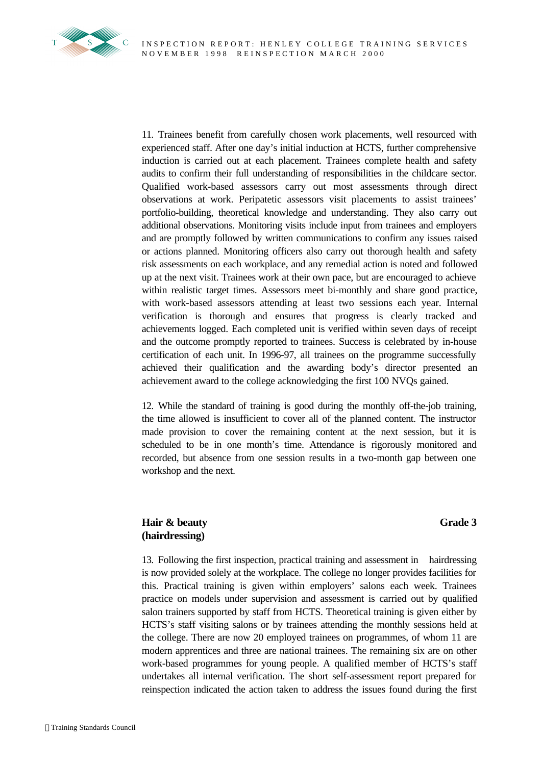

11. Trainees benefit from carefully chosen work placements, well resourced with experienced staff. After one day's initial induction at HCTS, further comprehensive induction is carried out at each placement. Trainees complete health and safety audits to confirm their full understanding of responsibilities in the childcare sector. Qualified work-based assessors carry out most assessments through direct observations at work. Peripatetic assessors visit placements to assist trainees' portfolio-building, theoretical knowledge and understanding. They also carry out additional observations. Monitoring visits include input from trainees and employers and are promptly followed by written communications to confirm any issues raised or actions planned. Monitoring officers also carry out thorough health and safety risk assessments on each workplace, and any remedial action is noted and followed up at the next visit. Trainees work at their own pace, but are encouraged to achieve within realistic target times. Assessors meet bi-monthly and share good practice, with work-based assessors attending at least two sessions each year. Internal verification is thorough and ensures that progress is clearly tracked and achievements logged. Each completed unit is verified within seven days of receipt and the outcome promptly reported to trainees. Success is celebrated by in-house certification of each unit. In 1996-97, all trainees on the programme successfully achieved their qualification and the awarding body's director presented an achievement award to the college acknowledging the first 100 NVQs gained.

12. While the standard of training is good during the monthly off-the-job training, the time allowed is insufficient to cover all of the planned content. The instructor made provision to cover the remaining content at the next session, but it is scheduled to be in one month's time. Attendance is rigorously monitored and recorded, but absence from one session results in a two-month gap between one workshop and the next.

# **Hair & beauty (hairdressing)**

# **Grade 3**

13. Following the first inspection, practical training and assessment in hairdressing is now provided solely at the workplace. The college no longer provides facilities for this. Practical training is given within employers' salons each week. Trainees practice on models under supervision and assessment is carried out by qualified salon trainers supported by staff from HCTS. Theoretical training is given either by HCTS's staff visiting salons or by trainees attending the monthly sessions held at the college. There are now 20 employed trainees on programmes, of whom 11 are modern apprentices and three are national trainees. The remaining six are on other work-based programmes for young people. A qualified member of HCTS's staff undertakes all internal verification. The short self-assessment report prepared for reinspection indicated the action taken to address the issues found during the first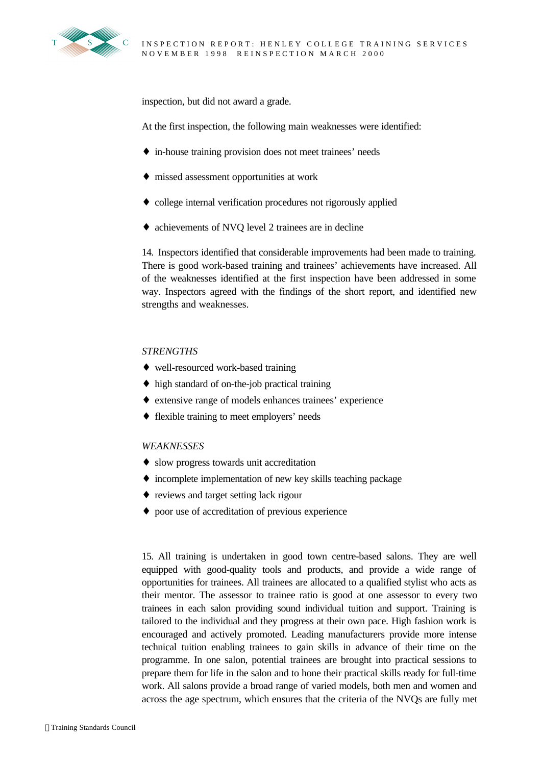

inspection, but did not award a grade.

At the first inspection, the following main weaknesses were identified:

- ♦ in-house training provision does not meet trainees' needs
- ♦ missed assessment opportunities at work
- ♦ college internal verification procedures not rigorously applied
- ♦ achievements of NVQ level 2 trainees are in decline

14. Inspectors identified that considerable improvements had been made to training. There is good work-based training and trainees' achievements have increased. All of the weaknesses identified at the first inspection have been addressed in some way. Inspectors agreed with the findings of the short report, and identified new strengths and weaknesses.

#### *STRENGTHS*

- ♦ well-resourced work-based training
- ♦ high standard of on-the-job practical training
- ♦ extensive range of models enhances trainees' experience
- ♦ flexible training to meet employers' needs

#### *WEAKNESSES*

- ♦ slow progress towards unit accreditation
- ♦ incomplete implementation of new key skills teaching package
- ♦ reviews and target setting lack rigour
- ♦ poor use of accreditation of previous experience

15. All training is undertaken in good town centre-based salons. They are well equipped with good-quality tools and products, and provide a wide range of opportunities for trainees. All trainees are allocated to a qualified stylist who acts as their mentor. The assessor to trainee ratio is good at one assessor to every two trainees in each salon providing sound individual tuition and support. Training is tailored to the individual and they progress at their own pace. High fashion work is encouraged and actively promoted. Leading manufacturers provide more intense technical tuition enabling trainees to gain skills in advance of their time on the programme. In one salon, potential trainees are brought into practical sessions to prepare them for life in the salon and to hone their practical skills ready for full-time work. All salons provide a broad range of varied models, both men and women and across the age spectrum, which ensures that the criteria of the NVQs are fully met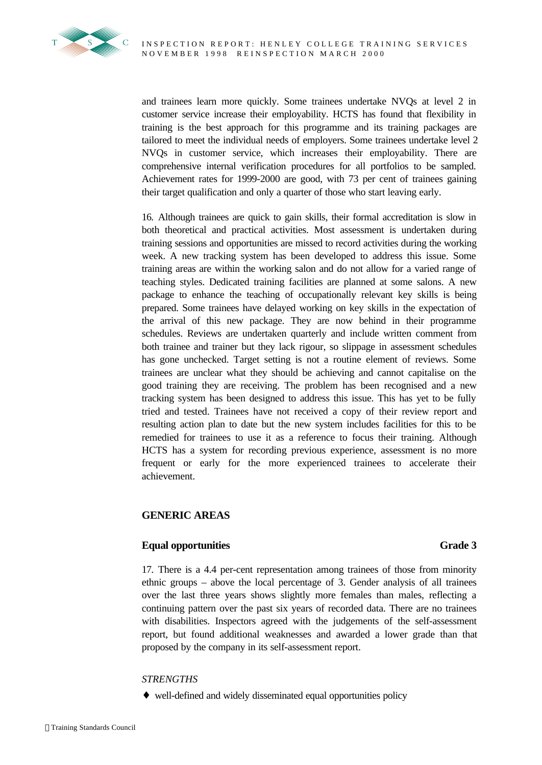

and trainees learn more quickly. Some trainees undertake NVQs at level 2 in customer service increase their employability. HCTS has found that flexibility in training is the best approach for this programme and its training packages are tailored to meet the individual needs of employers. Some trainees undertake level 2 NVQs in customer service, which increases their employability. There are comprehensive internal verification procedures for all portfolios to be sampled. Achievement rates for 1999-2000 are good, with 73 per cent of trainees gaining their target qualification and only a quarter of those who start leaving early.

16. Although trainees are quick to gain skills, their formal accreditation is slow in both theoretical and practical activities. Most assessment is undertaken during training sessions and opportunities are missed to record activities during the working week. A new tracking system has been developed to address this issue. Some training areas are within the working salon and do not allow for a varied range of teaching styles. Dedicated training facilities are planned at some salons. A new package to enhance the teaching of occupationally relevant key skills is being prepared. Some trainees have delayed working on key skills in the expectation of the arrival of this new package. They are now behind in their programme schedules. Reviews are undertaken quarterly and include written comment from both trainee and trainer but they lack rigour, so slippage in assessment schedules has gone unchecked. Target setting is not a routine element of reviews. Some trainees are unclear what they should be achieving and cannot capitalise on the good training they are receiving. The problem has been recognised and a new tracking system has been designed to address this issue. This has yet to be fully tried and tested. Trainees have not received a copy of their review report and resulting action plan to date but the new system includes facilities for this to be remedied for trainees to use it as a reference to focus their training. Although HCTS has a system for recording previous experience, assessment is no more frequent or early for the more experienced trainees to accelerate their achievement.

# **GENERIC AREAS**

# **Equal opportunities Grade 3**

17. There is a 4.4 per-cent representation among trainees of those from minority ethnic groups – above the local percentage of 3. Gender analysis of all trainees over the last three years shows slightly more females than males, reflecting a continuing pattern over the past six years of recorded data. There are no trainees with disabilities. Inspectors agreed with the judgements of the self-assessment report, but found additional weaknesses and awarded a lower grade than that proposed by the company in its self-assessment report.

## *STRENGTHS*

♦ well-defined and widely disseminated equal opportunities policy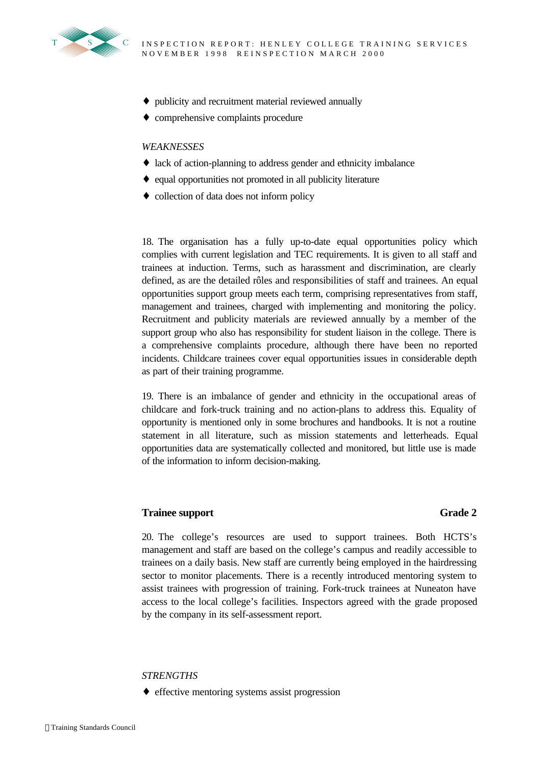

- ♦ publicity and recruitment material reviewed annually
- ♦ comprehensive complaints procedure

#### *WEAKNESSES*

- ♦ lack of action-planning to address gender and ethnicity imbalance
- ♦ equal opportunities not promoted in all publicity literature
- ♦ collection of data does not inform policy

18. The organisation has a fully up-to-date equal opportunities policy which complies with current legislation and TEC requirements. It is given to all staff and trainees at induction. Terms, such as harassment and discrimination, are clearly defined, as are the detailed rôles and responsibilities of staff and trainees. An equal opportunities support group meets each term, comprising representatives from staff, management and trainees, charged with implementing and monitoring the policy. Recruitment and publicity materials are reviewed annually by a member of the support group who also has responsibility for student liaison in the college. There is a comprehensive complaints procedure, although there have been no reported incidents. Childcare trainees cover equal opportunities issues in considerable depth as part of their training programme.

19. There is an imbalance of gender and ethnicity in the occupational areas of childcare and fork-truck training and no action-plans to address this. Equality of opportunity is mentioned only in some brochures and handbooks. It is not a routine statement in all literature, such as mission statements and letterheads. Equal opportunities data are systematically collected and monitored, but little use is made of the information to inform decision-making.

# **Trainee support Grade 2**

20. The college's resources are used to support trainees. Both HCTS's management and staff are based on the college's campus and readily accessible to trainees on a daily basis. New staff are currently being employed in the hairdressing sector to monitor placements. There is a recently introduced mentoring system to assist trainees with progression of training. Fork-truck trainees at Nuneaton have access to the local college's facilities. Inspectors agreed with the grade proposed by the company in its self-assessment report.

## *STRENGTHS*

♦ effective mentoring systems assist progression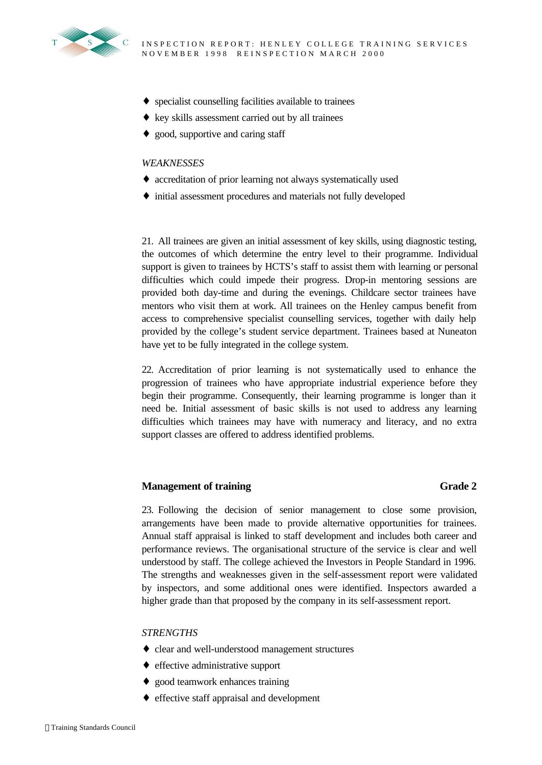

- ♦ specialist counselling facilities available to trainees
- ♦ key skills assessment carried out by all trainees
- ♦ good, supportive and caring staff

## *WEAKNESSES*

- ♦ accreditation of prior learning not always systematically used
- ♦ initial assessment procedures and materials not fully developed

21. All trainees are given an initial assessment of key skills, using diagnostic testing, the outcomes of which determine the entry level to their programme. Individual support is given to trainees by HCTS's staff to assist them with learning or personal difficulties which could impede their progress. Drop-in mentoring sessions are provided both day-time and during the evenings. Childcare sector trainees have mentors who visit them at work. All trainees on the Henley campus benefit from access to comprehensive specialist counselling services, together with daily help provided by the college's student service department. Trainees based at Nuneaton have yet to be fully integrated in the college system.

22. Accreditation of prior learning is not systematically used to enhance the progression of trainees who have appropriate industrial experience before they begin their programme. Consequently, their learning programme is longer than it need be. Initial assessment of basic skills is not used to address any learning difficulties which trainees may have with numeracy and literacy, and no extra support classes are offered to address identified problems.

# **Management of training Grade 2** Grade 2

23. Following the decision of senior management to close some provision, arrangements have been made to provide alternative opportunities for trainees. Annual staff appraisal is linked to staff development and includes both career and performance reviews. The organisational structure of the service is clear and well understood by staff. The college achieved the Investors in People Standard in 1996. The strengths and weaknesses given in the self-assessment report were validated by inspectors, and some additional ones were identified. Inspectors awarded a higher grade than that proposed by the company in its self-assessment report.

# *STRENGTHS*

- ♦ clear and well-understood management structures
- ♦ effective administrative support
- ♦ good teamwork enhances training
- ♦ effective staff appraisal and development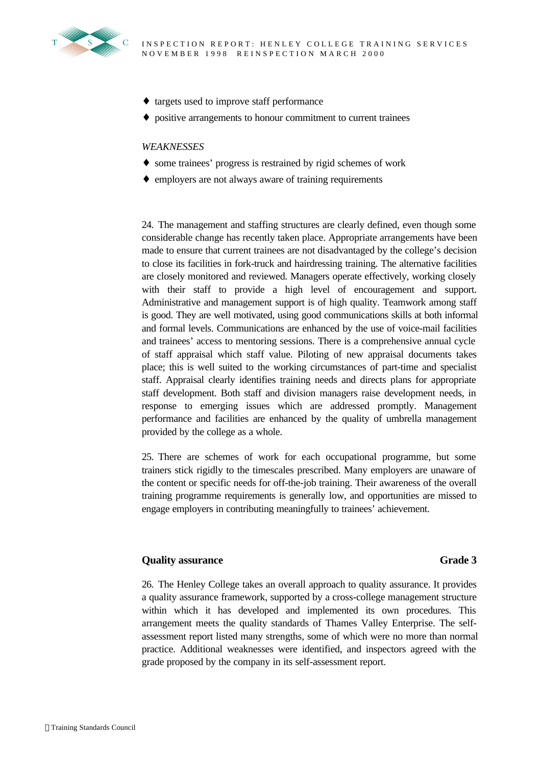

- ♦ targets used to improve staff performance
- ♦ positive arrangements to honour commitment to current trainees

#### *WEAKNESSES*

- ♦ some trainees' progress is restrained by rigid schemes of work
- ♦ employers are not always aware of training requirements

24. The management and staffing structures are clearly defined, even though some considerable change has recently taken place. Appropriate arrangements have been made to ensure that current trainees are not disadvantaged by the college's decision to close its facilities in fork-truck and hairdressing training. The alternative facilities are closely monitored and reviewed. Managers operate effectively, working closely with their staff to provide a high level of encouragement and support. Administrative and management support is of high quality. Teamwork among staff is good. They are well motivated, using good communications skills at both informal and formal levels. Communications are enhanced by the use of voice-mail facilities and trainees' access to mentoring sessions. There is a comprehensive annual cycle of staff appraisal which staff value. Piloting of new appraisal documents takes place; this is well suited to the working circumstances of part-time and specialist staff. Appraisal clearly identifies training needs and directs plans for appropriate staff development. Both staff and division managers raise development needs, in response to emerging issues which are addressed promptly. Management performance and facilities are enhanced by the quality of umbrella management provided by the college as a whole.

25. There are schemes of work for each occupational programme, but some trainers stick rigidly to the timescales prescribed. Many employers are unaware of the content or specific needs for off-the-job training. Their awareness of the overall training programme requirements is generally low, and opportunities are missed to engage employers in contributing meaningfully to trainees' achievement.

## **Quality assurance Grade 3**

26. The Henley College takes an overall approach to quality assurance. It provides a quality assurance framework, supported by a cross-college management structure within which it has developed and implemented its own procedures. This arrangement meets the quality standards of Thames Valley Enterprise. The selfassessment report listed many strengths, some of which were no more than normal practice. Additional weaknesses were identified, and inspectors agreed with the grade proposed by the company in its self-assessment report.